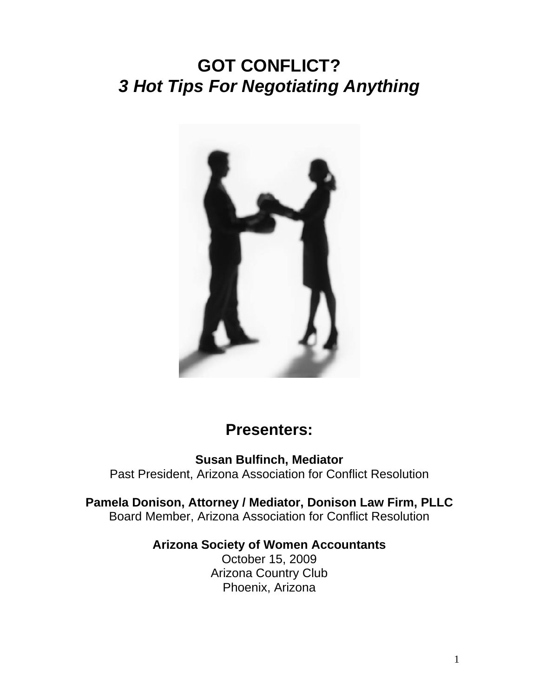# **GOT CONFLICT?**  *3 Hot Tips For Negotiating Anything*



# **Presenters:**

**Susan Bulfinch, Mediator**  Past President, Arizona Association for Conflict Resolution

**Pamela Donison, Attorney / Mediator, Donison Law Firm, PLLC**  Board Member, Arizona Association for Conflict Resolution

#### **Arizona Society of Women Accountants**

October 15, 2009 Arizona Country Club Phoenix, Arizona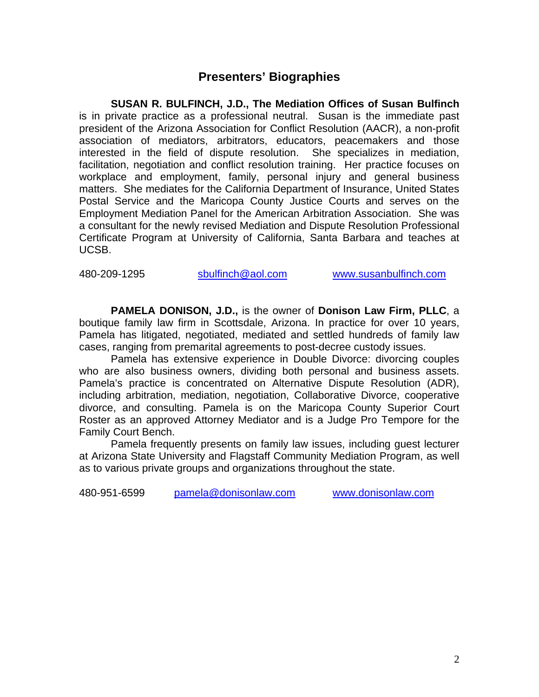#### **Presenters' Biographies**

 **SUSAN R. BULFINCH, J.D., The Mediation Offices of Susan Bulfinch**  is in private practice as a professional neutral. Susan is the immediate past president of the Arizona Association for Conflict Resolution (AACR), a non-profit association of mediators, arbitrators, educators, peacemakers and those interested in the field of dispute resolution. She specializes in mediation, facilitation, negotiation and conflict resolution training. Her practice focuses on workplace and employment, family, personal injury and general business matters. She mediates for the California Department of Insurance, United States Postal Service and the Maricopa County Justice Courts and serves on the Employment Mediation Panel for the American Arbitration Association. She was a consultant for the newly revised Mediation and Dispute Resolution Professional Certificate Program at University of California, Santa Barbara and teaches at UCSB.

480-209-1295 sbulfinch@aol.com www.susanbulfinch.com

 **PAMELA DONISON, J.D.,** is the owner of **Donison Law Firm, PLLC**, a boutique family law firm in Scottsdale, Arizona. In practice for over 10 years, Pamela has litigated, negotiated, mediated and settled hundreds of family law cases, ranging from premarital agreements to post-decree custody issues.

 Pamela has extensive experience in Double Divorce: divorcing couples who are also business owners, dividing both personal and business assets. Pamela's practice is concentrated on Alternative Dispute Resolution (ADR), including arbitration, mediation, negotiation, Collaborative Divorce, cooperative divorce, and consulting. Pamela is on the Maricopa County Superior Court Roster as an approved Attorney Mediator and is a Judge Pro Tempore for the Family Court Bench.

 Pamela frequently presents on family law issues, including guest lecturer at Arizona State University and Flagstaff Community Mediation Program, as well as to various private groups and organizations throughout the state.

480-951-6599 pamela@donisonlaw.com www.donisonlaw.com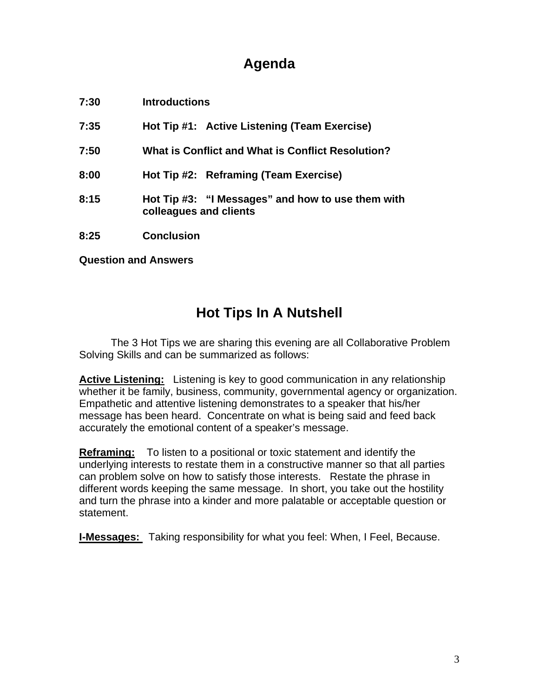## **Agenda**

| 7:30 | <b>Introductions</b>                                                        |
|------|-----------------------------------------------------------------------------|
| 7:35 | Hot Tip #1: Active Listening (Team Exercise)                                |
| 7:50 | What is Conflict and What is Conflict Resolution?                           |
| 8:00 | Hot Tip #2: Reframing (Team Exercise)                                       |
| 8:15 | Hot Tip #3: "I Messages" and how to use them with<br>colleagues and clients |
| 8:25 | <b>Conclusion</b>                                                           |

**Question and Answers** 

# **Hot Tips In A Nutshell**

The 3 Hot Tips we are sharing this evening are all Collaborative Problem Solving Skills and can be summarized as follows:

**Active Listening:** Listening is key to good communication in any relationship whether it be family, business, community, governmental agency or organization. Empathetic and attentive listening demonstrates to a speaker that his/her message has been heard. Concentrate on what is being said and feed back accurately the emotional content of a speaker's message.

**Reframing:** To listen to a positional or toxic statement and identify the underlying interests to restate them in a constructive manner so that all parties can problem solve on how to satisfy those interests. Restate the phrase in different words keeping the same message. In short, you take out the hostility and turn the phrase into a kinder and more palatable or acceptable question or statement.

**I-Messages:** Taking responsibility for what you feel: When, I Feel, Because.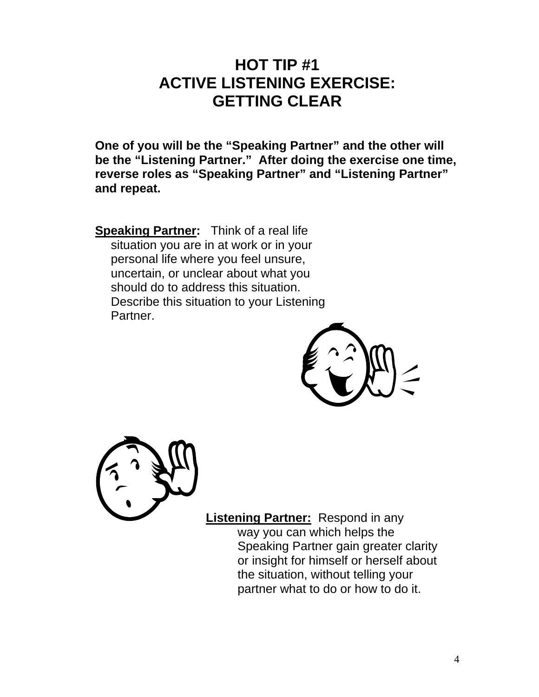# **HOT TIP #1 ACTIVE LISTENING EXERCISE: GETTING CLEAR**

**One of you will be the "Speaking Partner" and the other will be the "Listening Partner." After doing the exercise one time, reverse roles as "Speaking Partner" and "Listening Partner" and repeat.** 

**Speaking Partner:** Think of a real life situation you are in at work or in your personal life where you feel unsure, uncertain, or unclear about what you should do to address this situation. Describe this situation to your Listening Partner.





**Listening Partner:** Respond in any way you can which helps the Speaking Partner gain greater clarity or insight for himself or herself about the situation, without telling your partner what to do or how to do it.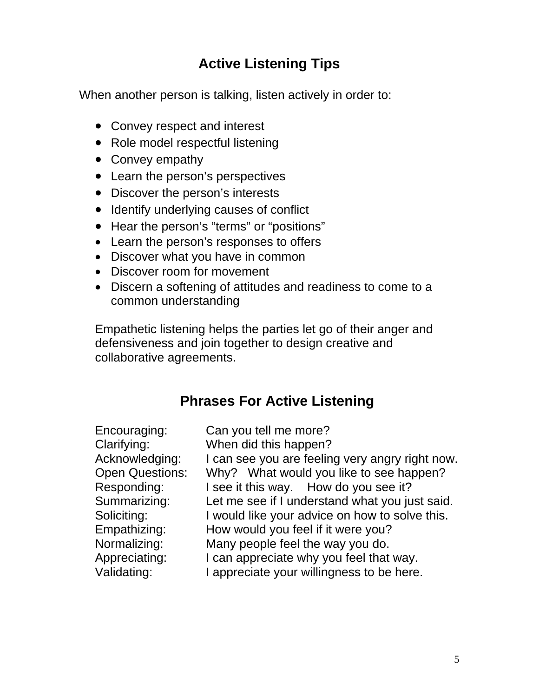# **Active Listening Tips**

When another person is talking, listen actively in order to:

- Convey respect and interest
- Role model respectful listening
- Convey empathy
- Learn the person's perspectives
- Discover the person's interests
- Identify underlying causes of conflict
- Hear the person's "terms" or "positions"
- Learn the person's responses to offers
- Discover what you have in common
- Discover room for movement
- Discern a softening of attitudes and readiness to come to a common understanding

Empathetic listening helps the parties let go of their anger and defensiveness and join together to design creative and collaborative agreements.

# **Phrases For Active Listening**

| Can you tell me more?                           |
|-------------------------------------------------|
| When did this happen?                           |
| I can see you are feeling very angry right now. |
| Why? What would you like to see happen?         |
| I see it this way. How do you see it?           |
| Let me see if I understand what you just said.  |
| I would like your advice on how to solve this.  |
| How would you feel if it were you?              |
| Many people feel the way you do.                |
| I can appreciate why you feel that way.         |
| I appreciate your willingness to be here.       |
|                                                 |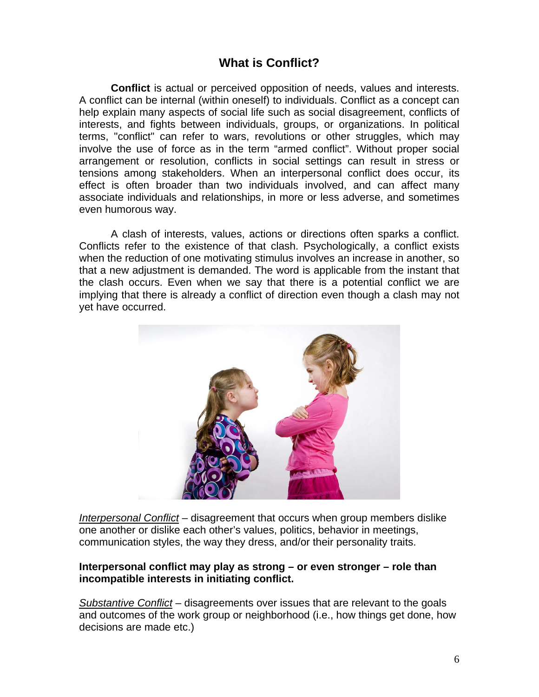### **What is Conflict?**

 **Conflict** is actual or perceived opposition of needs, values and interests. A conflict can be internal (within oneself) to individuals. Conflict as a concept can help explain many aspects of social life such as social disagreement, conflicts of interests, and fights between individuals, groups, or organizations. In political terms, "conflict" can refer to wars, revolutions or other struggles, which may involve the use of force as in the term "armed conflict". Without proper social arrangement or resolution, conflicts in social settings can result in stress or tensions among stakeholders. When an interpersonal conflict does occur, its effect is often broader than two individuals involved, and can affect many associate individuals and relationships, in more or less adverse, and sometimes even humorous way.

 A clash of interests, values, actions or directions often sparks a conflict. Conflicts refer to the existence of that clash. Psychologically, a conflict exists when the reduction of one motivating stimulus involves an increase in another, so that a new adjustment is demanded. The word is applicable from the instant that the clash occurs. Even when we say that there is a potential conflict we are implying that there is already a conflict of direction even though a clash may not yet have occurred.



*Interpersonal Conflict* – disagreement that occurs when group members dislike one another or dislike each other's values, politics, behavior in meetings, communication styles, the way they dress, and/or their personality traits.

#### **Interpersonal conflict may play as strong – or even stronger – role than incompatible interests in initiating conflict.**

*Substantive Conflict* – disagreements over issues that are relevant to the goals and outcomes of the work group or neighborhood (i.e., how things get done, how decisions are made etc.)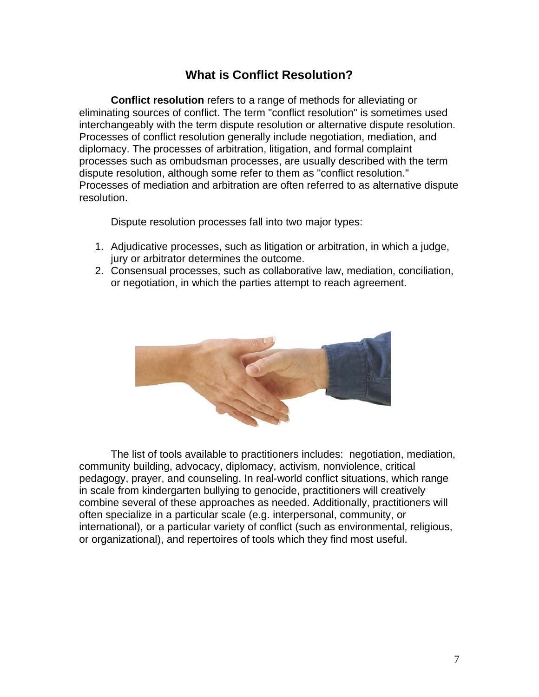#### **What is Conflict Resolution?**

 **Conflict resolution** refers to a range of methods for alleviating or eliminating sources of conflict. The term "conflict resolution" is sometimes used interchangeably with the term dispute resolution or alternative dispute resolution. Processes of conflict resolution generally include negotiation, mediation, and diplomacy. The processes of arbitration, litigation, and formal complaint processes such as ombudsman processes, are usually described with the term dispute resolution, although some refer to them as "conflict resolution." Processes of mediation and arbitration are often referred to as alternative dispute resolution.

Dispute resolution processes fall into two major types:

- 1. Adjudicative processes, such as litigation or arbitration, in which a judge, jury or arbitrator determines the outcome.
- 2. Consensual processes, such as collaborative law, mediation, conciliation, or negotiation, in which the parties attempt to reach agreement.



 The list of tools available to practitioners includes: negotiation, mediation, community building, advocacy, diplomacy, activism, nonviolence, critical pedagogy, prayer, and counseling. In real-world conflict situations, which range in scale from kindergarten bullying to genocide, practitioners will creatively combine several of these approaches as needed. Additionally, practitioners will often specialize in a particular scale (e.g. interpersonal, community, or international), or a particular variety of conflict (such as environmental, religious, or organizational), and repertoires of tools which they find most useful.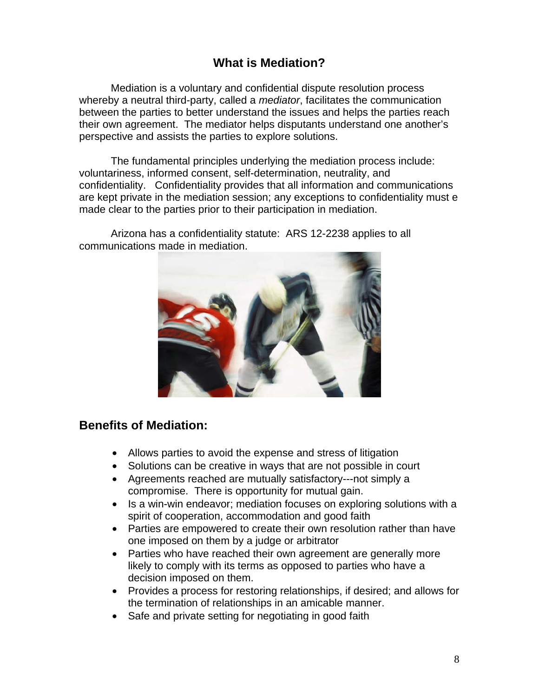### **What is Mediation?**

Mediation is a voluntary and confidential dispute resolution process whereby a neutral third-party, called a *mediator*, facilitates the communication between the parties to better understand the issues and helps the parties reach their own agreement. The mediator helps disputants understand one another's perspective and assists the parties to explore solutions.

 The fundamental principles underlying the mediation process include: voluntariness, informed consent, self-determination, neutrality, and confidentiality. Confidentiality provides that all information and communications are kept private in the mediation session; any exceptions to confidentiality must e made clear to the parties prior to their participation in mediation.



 Arizona has a confidentiality statute: ARS 12-2238 applies to all communications made in mediation.

#### **Benefits of Mediation:**

- Allows parties to avoid the expense and stress of litigation
- Solutions can be creative in ways that are not possible in court
- Agreements reached are mutually satisfactory---not simply a compromise. There is opportunity for mutual gain.
- Is a win-win endeavor; mediation focuses on exploring solutions with a spirit of cooperation, accommodation and good faith
- Parties are empowered to create their own resolution rather than have one imposed on them by a judge or arbitrator
- Parties who have reached their own agreement are generally more likely to comply with its terms as opposed to parties who have a decision imposed on them.
- Provides a process for restoring relationships, if desired; and allows for the termination of relationships in an amicable manner.
- Safe and private setting for negotiating in good faith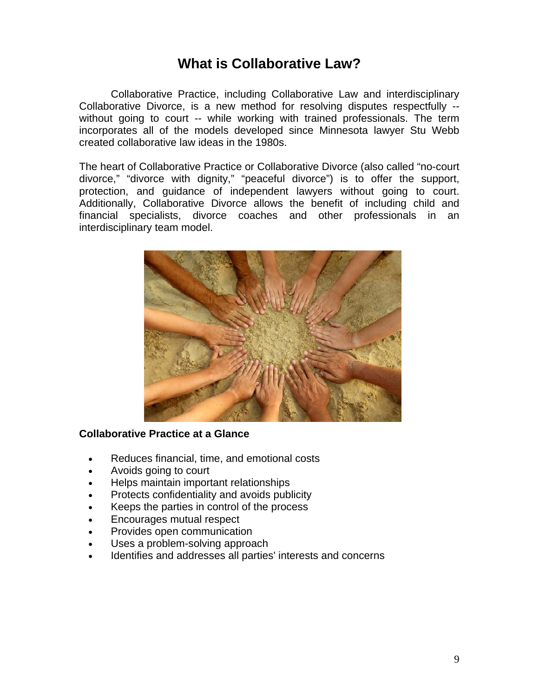### **What is Collaborative Law?**

 Collaborative Practice, including Collaborative Law and interdisciplinary Collaborative Divorce, is a new method for resolving disputes respectfully - without going to court -- while working with trained professionals. The term incorporates all of the models developed since Minnesota lawyer Stu Webb created collaborative law ideas in the 1980s.

The heart of Collaborative Practice or Collaborative Divorce (also called "no-court divorce," "divorce with dignity," "peaceful divorce") is to offer the support, protection, and guidance of independent lawyers without going to court. Additionally, Collaborative Divorce allows the benefit of including child and financial specialists, divorce coaches and other professionals in an interdisciplinary team model.



#### **Collaborative Practice at a Glance**

- Reduces financial, time, and emotional costs
- Avoids going to court
- Helps maintain important relationships
- Protects confidentiality and avoids publicity
- Keeps the parties in control of the process
- Encourages mutual respect
- Provides open communication
- Uses a problem-solving approach
- Identifies and addresses all parties' interests and concerns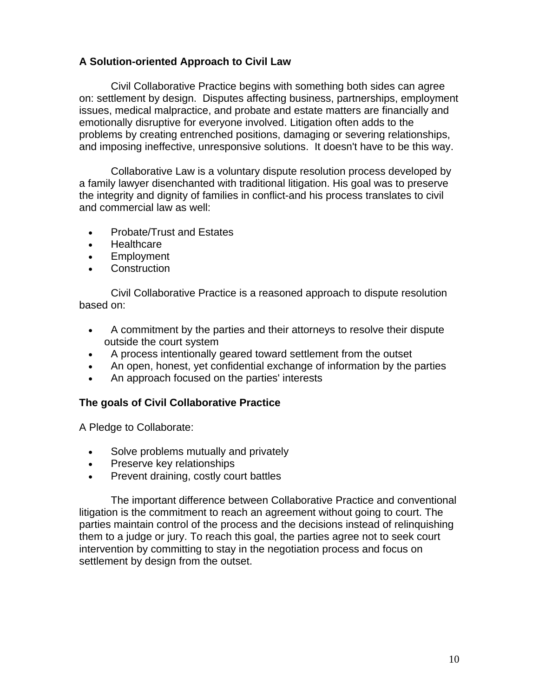#### **A Solution-oriented Approach to Civil Law**

 Civil Collaborative Practice begins with something both sides can agree on: settlement by design. Disputes affecting business, partnerships, employment issues, medical malpractice, and probate and estate matters are financially and emotionally disruptive for everyone involved. Litigation often adds to the problems by creating entrenched positions, damaging or severing relationships, and imposing ineffective, unresponsive solutions. It doesn't have to be this way.

 Collaborative Law is a voluntary dispute resolution process developed by a family lawyer disenchanted with traditional litigation. His goal was to preserve the integrity and dignity of families in conflict-and his process translates to civil and commercial law as well:

- Probate/Trust and Estates
- Healthcare
- Employment
- **Construction**

 Civil Collaborative Practice is a reasoned approach to dispute resolution based on:

- A commitment by the parties and their attorneys to resolve their dispute outside the court system
- A process intentionally geared toward settlement from the outset
- An open, honest, yet confidential exchange of information by the parties
- An approach focused on the parties' interests

#### **The goals of Civil Collaborative Practice**

A Pledge to Collaborate:

- Solve problems mutually and privately
- Preserve key relationships
- Prevent draining, costly court battles

 The important difference between Collaborative Practice and conventional litigation is the commitment to reach an agreement without going to court. The parties maintain control of the process and the decisions instead of relinquishing them to a judge or jury. To reach this goal, the parties agree not to seek court intervention by committing to stay in the negotiation process and focus on settlement by design from the outset.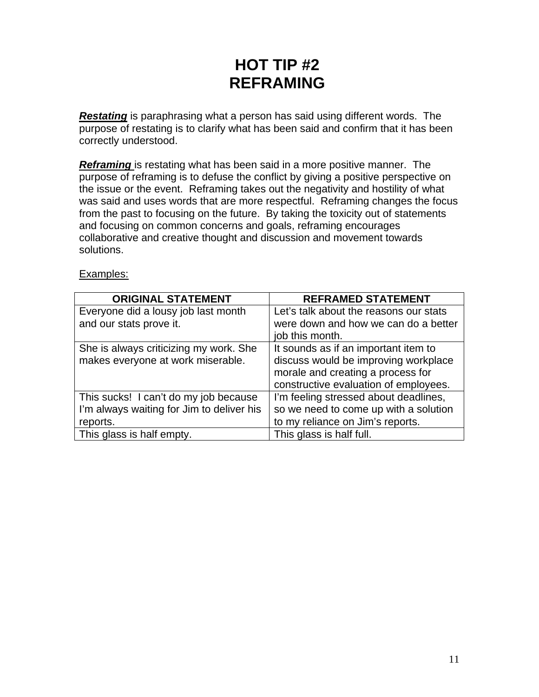# **HOT TIP #2 REFRAMING**

*Restating* is paraphrasing what a person has said using different words. The purpose of restating is to clarify what has been said and confirm that it has been correctly understood.

**Reframing** is restating what has been said in a more positive manner. The purpose of reframing is to defuse the conflict by giving a positive perspective on the issue or the event. Reframing takes out the negativity and hostility of what was said and uses words that are more respectful. Reframing changes the focus from the past to focusing on the future. By taking the toxicity out of statements and focusing on common concerns and goals, reframing encourages collaborative and creative thought and discussion and movement towards solutions.

#### Examples:

| <b>ORIGINAL STATEMENT</b>                 | <b>REFRAMED STATEMENT</b>              |
|-------------------------------------------|----------------------------------------|
| Everyone did a lousy job last month       | Let's talk about the reasons our stats |
| and our stats prove it.                   | were down and how we can do a better   |
|                                           | job this month.                        |
| She is always criticizing my work. She    | It sounds as if an important item to   |
| makes everyone at work miserable.         | discuss would be improving workplace   |
|                                           | morale and creating a process for      |
|                                           | constructive evaluation of employees.  |
| This sucks! I can't do my job because     | I'm feeling stressed about deadlines,  |
| I'm always waiting for Jim to deliver his | so we need to come up with a solution  |
| reports.                                  | to my reliance on Jim's reports.       |
| This glass is half empty.                 | This glass is half full.               |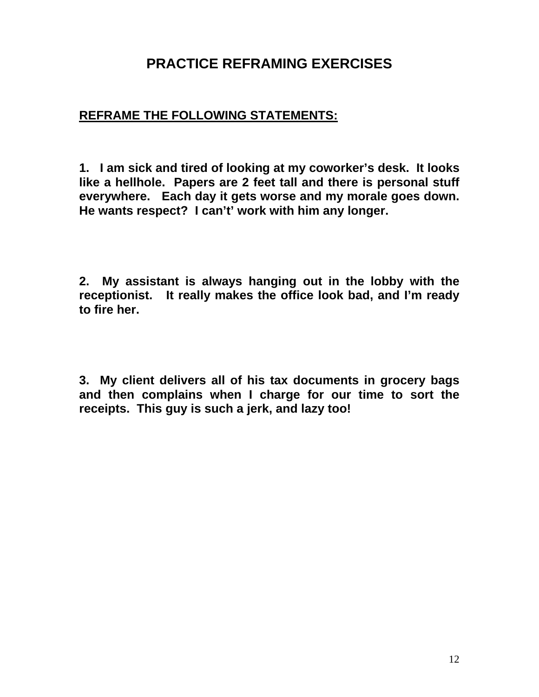## **PRACTICE REFRAMING EXERCISES**

### **REFRAME THE FOLLOWING STATEMENTS:**

**1. I am sick and tired of looking at my coworker's desk. It looks like a hellhole. Papers are 2 feet tall and there is personal stuff everywhere. Each day it gets worse and my morale goes down. He wants respect? I can't' work with him any longer.** 

**2. My assistant is always hanging out in the lobby with the receptionist. It really makes the office look bad, and I'm ready to fire her.** 

**3. My client delivers all of his tax documents in grocery bags and then complains when I charge for our time to sort the receipts. This guy is such a jerk, and lazy too!**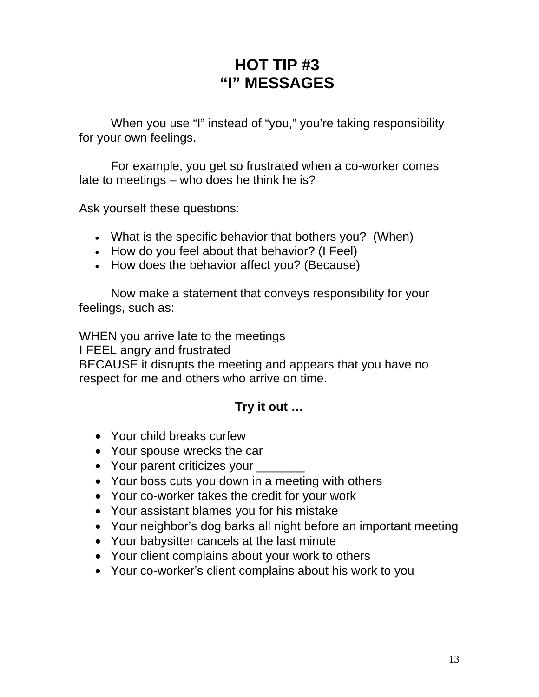# **HOT TIP #3 "I" MESSAGES**

 When you use "I" instead of "you," you're taking responsibility for your own feelings.

 For example, you get so frustrated when a co-worker comes late to meetings – who does he think he is?

Ask yourself these questions:

- What is the specific behavior that bothers you? (When)
- How do you feel about that behavior? (I Feel)
- How does the behavior affect you? (Because)

 Now make a statement that conveys responsibility for your feelings, such as:

WHEN you arrive late to the meetings I FEEL angry and frustrated BECAUSE it disrupts the meeting and appears that you have no respect for me and others who arrive on time.

### **Try it out …**

- Your child breaks curfew
- Your spouse wrecks the car
- Your parent criticizes your
- Your boss cuts you down in a meeting with others
- Your co-worker takes the credit for your work
- Your assistant blames you for his mistake
- Your neighbor's dog barks all night before an important meeting
- Your babysitter cancels at the last minute
- Your client complains about your work to others
- Your co-worker's client complains about his work to you